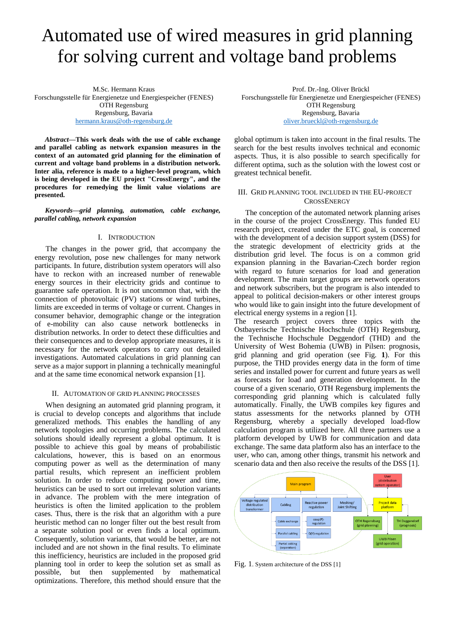# Automated use of wired measures in grid planning for solving current and voltage band problems

M.Sc. Hermann Kraus Forschungsstelle für Energienetze und Energiespeicher (FENES) OTH Regensburg Regensburg, Bavaria [hermann.kraus@oth-regensburg.de](mailto:hermann.kraus@oth-regensburg.de)

*Abstract***—This work deals with the use of cable exchange and parallel cabling as network expansion measures in the context of an automated grid planning for the elimination of current and voltage band problems in a distribution network. Inter alia, reference is made to a higher-level program, which is being developed in the EU project "CrossEnergy", and the procedures for remedying the limit value violations are presented.**

*Keywords—grid planning, automation, cable exchange, parallel cabling, network expansion*

#### I. INTRODUCTION

The changes in the power grid, that accompany the energy revolution, pose new challenges for many network participants. In future, distribution system operators will also have to reckon with an increased number of renewable energy sources in their electricity grids and continue to guarantee safe operation. It is not uncommon that, with the connection of photovoltaic (PV) stations or wind turbines, limits are exceeded in terms of voltage or current. Changes in consumer behavior, demographic change or the integration of e-mobility can also cause network bottlenecks in distribution networks. In order to detect these difficulties and their consequences and to develop appropriate measures, it is necessary for the network operators to carry out detailed investigations. Automated calculations in grid planning can serve as a major support in planning a technically meaningful and at the same time economical network expansion [\[1\].](#page-4-0)

#### II. AUTOMATION OF GRID PLANNING PROCESSES

When designing an automated grid planning program, it is crucial to develop concepts and algorithms that include generalized methods. This enables the handling of any network topologies and occurring problems. The calculated solutions should ideally represent a global optimum. It is possible to achieve this goal by means of probabilistic calculations, however, this is based on an enormous computing power as well as the determination of many partial results, which represent an inefficient problem solution. In order to reduce computing power and time, heuristics can be used to sort out irrelevant solution variants in advance. The problem with the mere integration of heuristics is often the limited application to the problem cases. Thus, there is the risk that an algorithm with a pure heuristic method can no longer filter out the best result from a separate solution pool or even finds a local optimum. Consequently, solution variants, that would be better, are not included and are not shown in the final results. To eliminate this inefficiency, heuristics are included in the proposed grid planning tool in order to keep the solution set as small as possible, but then supplemented by mathematical optimizations. Therefore, this method should ensure that the

Prof. Dr.-Ing. Oliver Brückl Forschungsstelle für Energienetze und Energiespeicher (FENES) OTH Regensburg Regensburg, Bavaria [oliver.brueckl@oth-regensburg.de](mailto:oliver.brueckl@oth-regensburg.de)

global optimum is taken into account in the final results. The search for the best results involves technical and economic aspects. Thus, it is also possible to search specifically for different optima, such as the solution with the lowest cost or greatest technical benefit.

### III. GRID PLANNING TOOL INCLUDED IN THE EU-PROJECT **CROSSENERGY**

The conception of the automated network planning arises in the course of the project CrossEnergy. This funded EU research project, created under the ETC goal, is concerned with the development of a decision support system (DSS) for the strategic development of electricity grids at the distribution grid level. The focus is on a common grid expansion planning in the Bavarian-Czech border region with regard to future scenarios for load and generation development. The main target groups are network operators and network subscribers, but the program is also intended to appeal to political decision-makers or other interest groups who would like to gain insight into the future development of electrical energy systems in a region [\[1\].](#page-4-0)

The research project covers three topics with the Ostbayerische Technische Hochschule (OTH) Regensburg, the Technische Hochschule Deggendorf (THD) and the University of West Bohemia (UWB) in Pilsen: prognosis, grid planning and grid operation (see [Fig.](#page-0-0) **1**). For this purpose, the THD provides energy data in the form of time series and installed power for current and future years as well as forecasts for load and generation development. In the course of a given scenario, OTH Regensburg implements the corresponding grid planning which is calculated fully automatically. Finally, the UWB compiles key figures and status assessments for the networks planned by OTH Regensburg, whereby a specially developed load-flow calculation program is utilized here. All three partners use a platform developed by UWB for communication and data exchange. The same data platform also has an interface to the user, who can, among other things, transmit his network and scenario data and then also receive the results of the DSS [\[1\].](#page-4-0)



<span id="page-0-0"></span>Fig. 1. System architecture of the DSS [\[1\]](#page-4-0)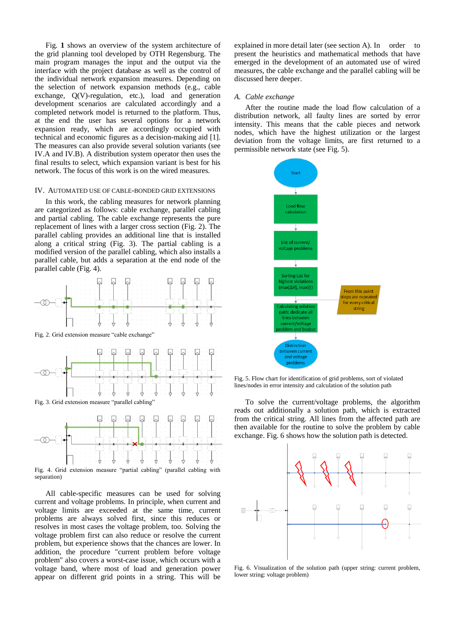[Fig.](#page-0-0) **1** shows an overview of the system architecture of the grid planning tool developed by OTH Regensburg. The main program manages the input and the output via the interface with the project database as well as the control of the individual network expansion measures. Depending on the selection of network expansion methods (e.g., cable exchange, Q(V)-regulation, etc.), load and generation development scenarios are calculated accordingly and a completed network model is returned to the platform. Thus, at the end the user has several options for a network expansion ready, which are accordingly occupied with technical and economic figures as a decision-making aid [\[1\].](#page-4-0) The measures can also provide several solution variants (see [IV.A](#page-1-0) and [IV.B\)](#page-2-0). A distribution system operator then uses the final results to select, which expansion variant is best for his network. The focus of this work is on the wired measures.

#### IV. AUTOMATED USE OF CABLE-BONDED GRID EXTENSIONS

In this work, the cabling measures for network planning are categorized as follows: cable exchange, parallel cabling and partial cabling. The cable exchange represents the pure replacement of lines with a larger cross section [\(Fig. 2\)](#page-1-1). The parallel cabling provides an additional line that is installed along a critical string [\(Fig. 3\)](#page-1-2). The partial cabling is a modified version of the parallel cabling, which also installs a parallel cable, but adds a separation at the end node of the parallel cable [\(Fig. 4\)](#page-1-3).



<span id="page-1-1"></span>Fig. 2. Grid extension measure "cable exchange"



<span id="page-1-2"></span>Fig. 3. Grid extension measure "parallel cabling"



<span id="page-1-3"></span>Fig. 4. Grid extension measure "partial cabling" (parallel cabling with separation)

All cable-specific measures can be used for solving current and voltage problems. In principle, when current and voltage limits are exceeded at the same time, current problems are always solved first, since this reduces or resolves in most cases the voltage problem, too. Solving the voltage problem first can also reduce or resolve the current problem, but experience shows that the chances are lower. In addition, the procedure "current problem before voltage problem" also covers a worst-case issue, which occurs with a voltage band, where most of load and generation power appear on different grid points in a string. This will be explained in more detail later (see section [A\)](#page-1-0). In order to present the heuristics and mathematical methods that have emerged in the development of an automated use of wired measures, the cable exchange and the parallel cabling will be discussed here deeper.

#### <span id="page-1-0"></span>*A. Cable exchange*

After the routine made the load flow calculation of a distribution network, all faulty lines are sorted by error intensity. This means that the cable pieces and network nodes, which have the highest utilization or the largest deviation from the voltage limits, are first returned to a permissible network state (se[e Fig. 5\)](#page-1-4).



<span id="page-1-4"></span>Fig. 5. Flow chart for identification of grid problems, sort of violated lines/nodes in error intensity and calculation of the solution path

To solve the current/voltage problems, the algorithm reads out additionally a solution path, which is extracted from the critical string. All lines from the affected path are then available for the routine to solve the problem by cable exchange. [Fig. 6](#page-1-5) shows how the solution path is detected.



<span id="page-1-5"></span>Fig. 6. Visualization of the solution path (upper string: current problem, lower string: voltage problem)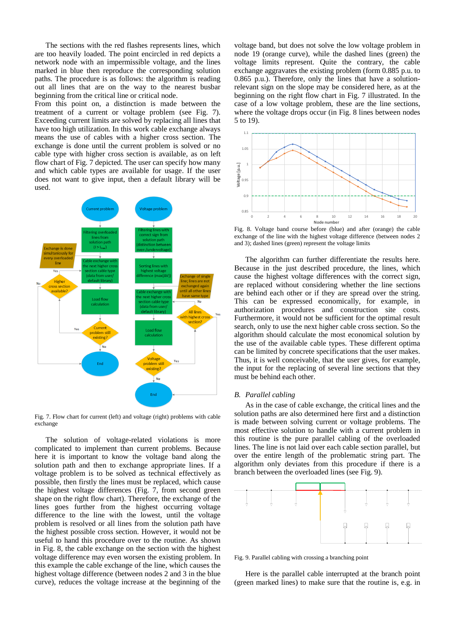The sections with the red flashes represents lines, which are too heavily loaded. The point encircled in red depicts a network node with an impermissible voltage, and the lines marked in blue then reproduce the corresponding solution paths. The procedure is as follows: the algorithm is reading out all lines that are on the way to the nearest busbar beginning from the critical line or critical node.

From this point on, a distinction is made between the treatment of a current or voltage problem (see [Fig.](#page-2-1) 7). Exceeding current limits are solved by replacing all lines that have too high utilization. In this work cable exchange always means the use of cables with a higher cross section. The exchange is done until the current problem is solved or no cable type with higher cross section is available, as on left flow chart of [Fig.](#page-2-1) 7 depicted. The user can specify how many and which cable types are available for usage. If the user does not want to give input, then a default library will be used.



<span id="page-2-1"></span>Fig. 7. Flow chart for current (left) and voltage (right) problems with cable exchange

The solution of voltage-related violations is more complicated to implement than current problems. Because here it is important to know the voltage band along the solution path and then to exchange appropriate lines. If a voltage problem is to be solved as technical effectively as possible, then firstly the lines must be replaced, which cause the highest voltage differences [\(Fig.](#page-2-1) 7, from second green shape on the right flow chart). Therefore, the exchange of the lines goes further from the highest occurring voltage difference to the line with the lowest, until the voltage problem is resolved or all lines from the solution path have the highest possible cross section. However, it would not be useful to hand this procedure over to the routine. As shown in [Fig. 8,](#page-2-2) the cable exchange on the section with the highest voltage difference may even worsen the existing problem. In this example the cable exchange of the line, which causes the highest voltage difference (between nodes 2 and 3 in the blue curve), reduces the voltage increase at the beginning of the

voltage band, but does not solve the low voltage problem in node 19 (orange curve), while the dashed lines (green) the voltage limits represent. Quite the contrary, the cable exchange aggravates the existing problem (form 0.885 p.u. to 0.865 p.u.). Therefore, only the lines that have a solutionrelevant sign on the slope may be considered here, as at the beginning on the right flow chart in [Fig.](#page-2-1) 7 illustrated. In the case of a low voltage problem, these are the line sections, where the voltage drops occur (in [Fig. 8](#page-2-2) lines between nodes 5 to 19).



<span id="page-2-2"></span>Fig. 8. Voltage band course before (blue) and after (orange) the cable exchange of the line with the highest voltage difference (between nodes 2 and 3); dashed lines (green) represent the voltage limits

The algorithm can further differentiate the results here. Because in the just described procedure, the lines, which cause the highest voltage differences with the correct sign, are replaced without considering whether the line sections are behind each other or if they are spread over the string. This can be expressed economically, for example, in authorization procedures and construction site costs. Furthermore, it would not be sufficient for the optimal result search, only to use the next higher cable cross section. So the algorithm should calculate the most economical solution by the use of the available cable types. These different optima can be limited by concrete specifications that the user makes. Thus, it is well conceivable, that the user gives, for example, the input for the replacing of several line sections that they must be behind each other.

### <span id="page-2-0"></span>*B. Parallel cabling*

As in the case of cable exchange, the critical lines and the solution paths are also determined here first and a distinction is made between solving current or voltage problems. The most effective solution to handle with a current problem in this routine is the pure parallel cabling of the overloaded lines. The line is not laid over each cable section parallel, but over the entire length of the problematic string part. The algorithm only deviates from this procedure if there is a branch between the overloaded lines (see [Fig. 9\)](#page-2-3).



<span id="page-2-3"></span>Fig. 9. Parallel cabling with crossing a branching point

Here is the parallel cable interrupted at the branch point (green marked lines) to make sure that the routine is, e.g. in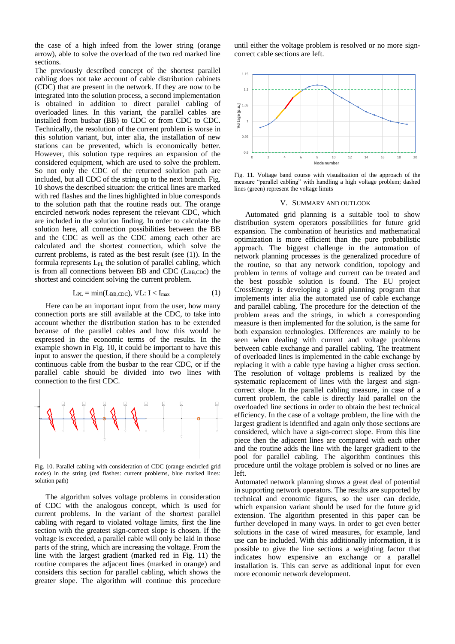the case of a high infeed from the lower string (orange arrow), able to solve the overload of the two red marked line sections.

The previously described concept of the shortest parallel cabling does not take account of cable distribution cabinets (CDC) that are present in the network. If they are now to be integrated into the solution process, a second implementation is obtained in addition to direct parallel cabling of overloaded lines. In this variant, the parallel cables are installed from busbar (BB) to CDC or from CDC to CDC. Technically, the resolution of the current problem is worse in this solution variant, but, inter alia, the installation of new stations can be prevented, which is economically better. However, this solution type requires an expansion of the considered equipment, which are used to solve the problem. So not only the CDC of the returned solution path are included, but all CDC of the string up to the next branch. [Fig.](#page-3-0)  [10](#page-3-0) shows the described situation: the critical lines are marked with red flashes and the lines highlighted in blue corresponds to the solution path that the routine reads out. The orange encircled network nodes represent the relevant CDC, which are included in the solution finding. In order to calculate the solution here, all connection possibilities between the BB and the CDC as well as the CDC among each other are calculated and the shortest connection, which solve the current problems, is rated as the best result (see (1)). In the formula represents L<sub>PL</sub> the solution of parallel cabling, which is from all connections between BB and CDC ( $L_{BB,CDC}$ ) the shortest and coincident solving the current problem.

$$
L_{PL} = min(L_{BB, CDC}), \forall L: I < I_{max}
$$
 (1)

Here can be an important input from the user, how many connection ports are still available at the CDC, to take into account whether the distribution station has to be extended because of the parallel cables and how this would be expressed in the economic terms of the results. In the example shown in [Fig. 10,](#page-3-0) it could be important to have this input to answer the question, if there should be a completely continuous cable from the busbar to the rear CDC, or if the parallel cable should be divided into two lines with connection to the first CDC.



<span id="page-3-0"></span>Fig. 10. Parallel cabling with consideration of CDC (orange encircled grid nodes) in the string (red flashes: current problems, blue marked lines: solution path)

The algorithm solves voltage problems in consideration of CDC with the analogous concept, which is used for current problems. In the variant of the shortest parallel cabling with regard to violated voltage limits, first the line section with the greatest sign-correct slope is chosen. If the voltage is exceeded, a parallel cable will only be laid in those parts of the string, which are increasing the voltage. From the line with the largest gradient (marked red in [Fig. 11\)](#page-3-1) the routine compares the adjacent lines (marked in orange) and considers this section for parallel cabling, which shows the greater slope. The algorithm will continue this procedure

until either the voltage problem is resolved or no more signcorrect cable sections are left.



<span id="page-3-1"></span>Fig. 11. Voltage band course with visualization of the approach of the measure "parallel cabling" with handling a high voltage problem; dashed lines (green) represent the voltage limits

#### V. SUMMARY AND OUTLOOK

Automated grid planning is a suitable tool to show distribution system operators possibilities for future grid expansion. The combination of heuristics and mathematical optimization is more efficient than the pure probabilistic approach. The biggest challenge in the automation of network planning processes is the generalized procedure of the routine, so that any network condition, topology and problem in terms of voltage and current can be treated and the best possible solution is found. The EU project CrossEnergy is developing a grid planning program that implements inter alia the automated use of cable exchange and parallel cabling. The procedure for the detection of the problem areas and the strings, in which a corresponding measure is then implemented for the solution, is the same for both expansion technologies. Differences are mainly to be seen when dealing with current and voltage problems between cable exchange and parallel cabling. The treatment of overloaded lines is implemented in the cable exchange by replacing it with a cable type having a higher cross section. The resolution of voltage problems is realized by the systematic replacement of lines with the largest and signcorrect slope. In the parallel cabling measure, in case of a current problem, the cable is directly laid parallel on the overloaded line sections in order to obtain the best technical efficiency. In the case of a voltage problem, the line with the largest gradient is identified and again only those sections are considered, which have a sign-correct slope. From this line piece then the adjacent lines are compared with each other and the routine adds the line with the larger gradient to the pool for parallel cabling. The algorithm continues this procedure until the voltage problem is solved or no lines are left.

Automated network planning shows a great deal of potential in supporting network operators. The results are supported by technical and economic figures, so the user can decide, which expansion variant should be used for the future grid extension. The algorithm presented in this paper can be further developed in many ways. In order to get even better solutions in the case of wired measures, for example, land use can be included. With this additionally information, it is possible to give the line sections a weighting factor that indicates how expensive an exchange or a parallel installation is. This can serve as additional input for even more economic network development.